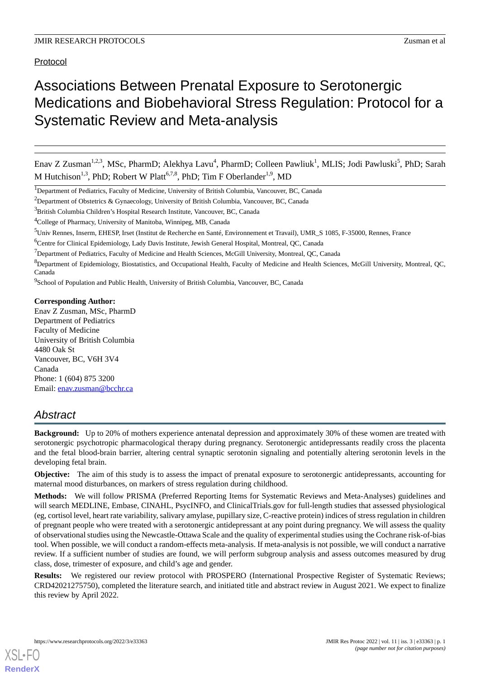Protocol

# Associations Between Prenatal Exposure to Serotonergic Medications and Biobehavioral Stress Regulation: Protocol for a Systematic Review and Meta-analysis

Enav Z Zusman<sup>1,2,3</sup>, MSc, PharmD; Alekhya Lavu<sup>4</sup>, PharmD; Colleen Pawliuk<sup>1</sup>, MLIS; Jodi Pawluski<sup>5</sup>, PhD; Sarah M Hutchison<sup>1,3</sup>, PhD; Robert W Platt<sup>6,7,8</sup>, PhD; Tim F Oberlander<sup>1,9</sup>, MD

<sup>9</sup> School of Population and Public Health, University of British Columbia, Vancouver, BC, Canada

#### **Corresponding Author:**

Enav Z Zusman, MSc, PharmD Department of Pediatrics Faculty of Medicine University of British Columbia 4480 Oak St Vancouver, BC, V6H 3V4 Canada Phone: 1 (604) 875 3200 Email: [enav.zusman@bcchr.ca](mailto:enav.zusman@bcchr.ca)

# *Abstract*

**Background:** Up to 20% of mothers experience antenatal depression and approximately 30% of these women are treated with serotonergic psychotropic pharmacological therapy during pregnancy. Serotonergic antidepressants readily cross the placenta and the fetal blood-brain barrier, altering central synaptic serotonin signaling and potentially altering serotonin levels in the developing fetal brain.

**Objective:** The aim of this study is to assess the impact of prenatal exposure to serotonergic antidepressants, accounting for maternal mood disturbances, on markers of stress regulation during childhood.

**Methods:** We will follow PRISMA (Preferred Reporting Items for Systematic Reviews and Meta-Analyses) guidelines and will search MEDLINE, Embase, CINAHL, PsycINFO, and ClinicalTrials.gov for full-length studies that assessed physiological (eg, cortisol level, heart rate variability, salivary amylase, pupillary size, C-reactive protein) indices of stress regulation in children of pregnant people who were treated with a serotonergic antidepressant at any point during pregnancy. We will assess the quality of observational studies using the Newcastle-Ottawa Scale and the quality of experimental studies using the Cochrane risk-of-bias tool. When possible, we will conduct a random-effects meta-analysis. If meta-analysis is not possible, we will conduct a narrative review. If a sufficient number of studies are found, we will perform subgroup analysis and assess outcomes measured by drug class, dose, trimester of exposure, and child's age and gender.

**Results:** We registered our review protocol with PROSPERO (International Prospective Register of Systematic Reviews; CRD42021275750), completed the literature search, and initiated title and abstract review in August 2021. We expect to finalize this review by April 2022.

<sup>&</sup>lt;sup>1</sup>Department of Pediatrics, Faculty of Medicine, University of British Columbia, Vancouver, BC, Canada

<sup>&</sup>lt;sup>2</sup>Department of Obstetrics & Gynaecology, University of British Columbia, Vancouver, BC, Canada

<sup>&</sup>lt;sup>3</sup>British Columbia Children's Hospital Research Institute, Vancouver, BC, Canada

<sup>4</sup>College of Pharmacy, University of Manitoba, Winnipeg, MB, Canada

<sup>&</sup>lt;sup>5</sup>Univ Rennes, Inserm, EHESP, Irset (Institut de Recherche en Santé, Environnement et Travail), UMR\_S 1085, F-35000, Rennes, France

<sup>6</sup>Centre for Clinical Epidemiology, Lady Davis Institute, Jewish General Hospital, Montreal, QC, Canada

<sup>&</sup>lt;sup>7</sup>Department of Pediatrics, Faculty of Medicine and Health Sciences, McGill University, Montreal, QC, Canada

<sup>8</sup>Department of Epidemiology, Biostatistics, and Occupational Health, Faculty of Medicine and Health Sciences, McGill University, Montreal, QC, Canada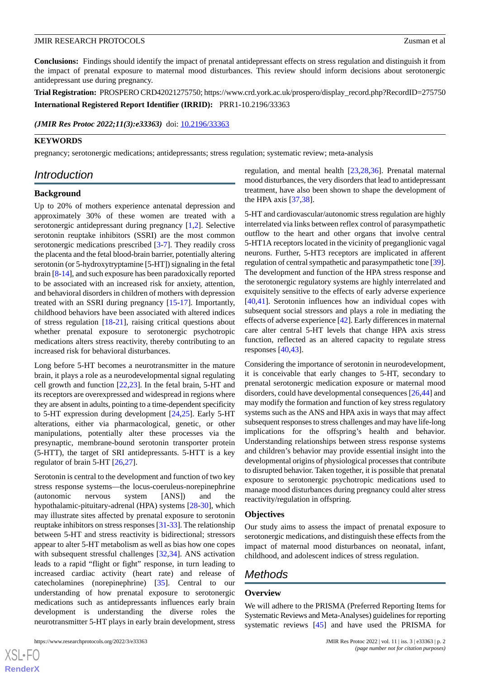#### **JMIR RESEARCH PROTOCOLS** *Zusman et al.*

**Conclusions:** Findings should identify the impact of prenatal antidepressant effects on stress regulation and distinguish it from the impact of prenatal exposure to maternal mood disturbances. This review should inform decisions about serotonergic antidepressant use during pregnancy.

**Trial Registration:** PROSPERO CRD42021275750; https://www.crd.york.ac.uk/prospero/display\_record.php?RecordID=275750 **International Registered Report Identifier (IRRID):** PRR1-10.2196/33363

(JMIR Res Protoc 2022;11(3):e33363) doi: [10.2196/33363](http://dx.doi.org/10.2196/33363)

#### **KEYWORDS**

pregnancy; serotonergic medications; antidepressants; stress regulation; systematic review; meta-analysis

# *Introduction*

#### **Background**

Up to 20% of mothers experience antenatal depression and approximately 30% of these women are treated with a serotonergic antidepressant during pregnancy [[1,](#page-4-0)[2](#page-4-1)]. Selective serotonin reuptake inhibitors (SSRI) are the most common serotonergic medications prescribed [\[3](#page-4-2)-[7\]](#page-4-3). They readily cross the placenta and the fetal blood-brain barrier, potentially altering serotonin (or 5-hydroxytryptamine [5-HT]) signaling in the fetal brain [\[8](#page-4-4)[-14](#page-4-5)], and such exposure has been paradoxically reported to be associated with an increased risk for anxiety, attention, and behavioral disorders in children of mothers with depression treated with an SSRI during pregnancy [[15](#page-4-6)[-17](#page-4-7)]. Importantly, childhood behaviors have been associated with altered indices of stress regulation [[18](#page-5-0)[-21](#page-5-1)], raising critical questions about whether prenatal exposure to serotonergic psychotropic medications alters stress reactivity, thereby contributing to an increased risk for behavioral disturbances.

Long before 5-HT becomes a neurotransmitter in the mature brain, it plays a role as a neurodevelopmental signal regulating cell growth and function [\[22](#page-5-2)[,23](#page-5-3)]. In the fetal brain, 5-HT and its receptors are overexpressed and widespread in regions where they are absent in adults, pointing to a time-dependent specificity to 5-HT expression during development [[24](#page-5-4)[,25](#page-5-5)]. Early 5-HT alterations, either via pharmacological, genetic, or other manipulations, potentially alter these processes via the presynaptic, membrane-bound serotonin transporter protein (5-HTT), the target of SRI antidepressants. 5-HTT is a key regulator of brain 5-HT [\[26](#page-5-6),[27\]](#page-5-7).

Serotonin is central to the development and function of two key stress response systems—the locus-coeruleus-norepinephrine (autonomic nervous system [ANS]) and the hypothalamic-pituitary-adrenal (HPA) systems [\[28](#page-5-8)-[30\]](#page-5-9), which may illustrate sites affected by prenatal exposure to serotonin reuptake inhibitors on stress responses [\[31](#page-5-10)[-33](#page-5-11)]. The relationship between 5-HT and stress reactivity is bidirectional; stressors appear to alter 5-HT metabolism as well as bias how one copes with subsequent stressful challenges [\[32](#page-5-12),[34\]](#page-5-13). ANS activation leads to a rapid "flight or fight" response, in turn leading to increased cardiac activity (heart rate) and release of catecholamines (norepinephrine) [[35\]](#page-5-14). Central to our understanding of how prenatal exposure to serotonergic medications such as antidepressants influences early brain development is understanding the diverse roles the neurotransmitter 5-HT plays in early brain development, stress

effects of adverse experience [[42\]](#page-5-21). Early differences in maternal care alter central 5-HT levels that change HPA axis stress function, reflected as an altered capacity to regulate stress responses [\[40](#page-5-19),[43\]](#page-6-0).

the HPA axis [[37](#page-5-16)[,38](#page-5-17)].

Considering the importance of serotonin in neurodevelopment, it is conceivable that early changes to 5-HT, secondary to prenatal serotonergic medication exposure or maternal mood disorders, could have developmental consequences [\[26](#page-5-6),[44\]](#page-6-1) and may modify the formation and function of key stress regulatory systems such as the ANS and HPA axis in ways that may affect subsequent responses to stress challenges and may have life-long implications for the offspring's health and behavior. Understanding relationships between stress response systems and children's behavior may provide essential insight into the developmental origins of physiological processes that contribute to disrupted behavior. Taken together, it is possible that prenatal exposure to serotonergic psychotropic medications used to manage mood disturbances during pregnancy could alter stress reactivity/regulation in offspring.

regulation, and mental health [[23](#page-5-3)[,28](#page-5-8),[36\]](#page-5-15). Prenatal maternal mood disturbances, the very disorders that lead to antidepressant treatment, have also been shown to shape the development of

5-HT and cardiovascular/autonomic stress regulation are highly interrelated via links between reflex control of parasympathetic outflow to the heart and other organs that involve central 5-HT1A receptors located in the vicinity of preganglionic vagal neurons. Further, 5-HT3 receptors are implicated in afferent regulation of central sympathetic and parasympathetic tone [\[39](#page-5-18)]. The development and function of the HPA stress response and the serotonergic regulatory systems are highly interrelated and exquisitely sensitive to the effects of early adverse experience [[40,](#page-5-19)[41\]](#page-5-20). Serotonin influences how an individual copes with subsequent social stressors and plays a role in mediating the

#### **Objectives**

Our study aims to assess the impact of prenatal exposure to serotonergic medications, and distinguish these effects from the impact of maternal mood disturbances on neonatal, infant, childhood, and adolescent indices of stress regulation.

# *Methods*

#### **Overview**

We will adhere to the PRISMA (Preferred Reporting Items for Systematic Reviews and Meta-Analyses) guidelines for reporting systematic reviews [[45\]](#page-6-2) and have used the PRISMA for

 $XSI - F($ **[RenderX](http://www.renderx.com/)**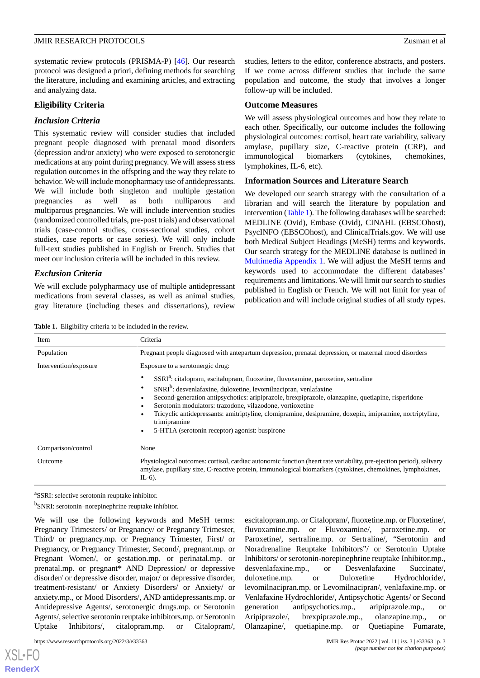#### **JMIR RESEARCH PROTOCOLS** *Zusman et al.*

systematic review protocols (PRISMA-P) [[46\]](#page-6-3). Our research protocol was designed a priori, defining methods for searching the literature, including and examining articles, and extracting and analyzing data.

#### **Eligibility Criteria**

#### *Inclusion Criteria*

This systematic review will consider studies that included pregnant people diagnosed with prenatal mood disorders (depression and/or anxiety) who were exposed to serotonergic medications at any point during pregnancy. We will assess stress regulation outcomes in the offspring and the way they relate to behavior. We will include monopharmacy use of antidepressants. We will include both singleton and multiple gestation pregnancies as well as both nulliparous and multiparous pregnancies. We will include intervention studies (randomized controlled trials, pre-post trials) and observational trials (case-control studies, cross-sectional studies, cohort studies, case reports or case series). We will only include full-text studies published in English or French. Studies that meet our inclusion criteria will be included in this review.

#### *Exclusion Criteria*

<span id="page-2-0"></span>We will exclude polypharmacy use of multiple antidepressant medications from several classes, as well as animal studies, gray literature (including theses and dissertations), review

studies, letters to the editor, conference abstracts, and posters. If we come across different studies that include the same population and outcome, the study that involves a longer follow-up will be included.

#### **Outcome Measures**

We will assess physiological outcomes and how they relate to each other. Specifically, our outcome includes the following physiological outcomes: cortisol, heart rate variability, salivary amylase, pupillary size, C-reactive protein (CRP), and immunological biomarkers (cytokines, chemokines, lymphokines, IL-6, etc).

#### **Information Sources and Literature Search**

We developed our search strategy with the consultation of a librarian and will search the literature by population and intervention ([Table 1](#page-2-0)). The following databases will be searched: MEDLINE (Ovid), Embase (Ovid), CINAHL (EBSCOhost), PsycINFO (EBSCOhost), and ClinicalTrials.gov. We will use both Medical Subject Headings (MeSH) terms and keywords. Our search strategy for the MEDLINE database is outlined in [Multimedia Appendix 1.](#page-4-8) We will adjust the MeSH terms and keywords used to accommodate the different databases' requirements and limitations. We will limit our search to studies published in English or French. We will not limit for year of publication and will include original studies of all study types.

**Table 1.** Eligibility criteria to be included in the review.

| Item                  | Criteria                                                                                                                                                                                                                                                                                                                                                                                                                                                                                                                  |
|-----------------------|---------------------------------------------------------------------------------------------------------------------------------------------------------------------------------------------------------------------------------------------------------------------------------------------------------------------------------------------------------------------------------------------------------------------------------------------------------------------------------------------------------------------------|
| Population            | Pregnant people diagnosed with antepartum depression, prenatal depression, or maternal mood disorders                                                                                                                                                                                                                                                                                                                                                                                                                     |
| Intervention/exposure | Exposure to a serotonergic drug:                                                                                                                                                                                                                                                                                                                                                                                                                                                                                          |
|                       | SSRI <sup>a</sup> : citalopram, escitalopram, fluoxetine, fluvoxamine, paroxetine, sertraline<br>$SNRIb$ : desvenlafaxine, duloxetine, levomilnacipran, venlafaxine<br>Second-generation antipsychotics: aripiprazole, brexpiprazole, olanzapine, quetiapine, risperidone<br>Serotonin modulators: trazodone, vilazodone, vortioxetine<br>Tricyclic antidepressants: amitriptyline, clomipramine, desipramine, doxepin, imipramine, nortriptyline,<br>trimipramine<br>5-HT1A (serotonin receptor) agonist: buspirone<br>٠ |
| Comparison/control    | None                                                                                                                                                                                                                                                                                                                                                                                                                                                                                                                      |
| Outcome               | Physiological outcomes: cortisol, cardiac autonomic function (heart rate variability, pre-ejection period), salivary<br>amylase, pupillary size, C-reactive protein, immunological biomarkers (cytokines, chemokines, lymphokines,<br>$IL-6$ ).                                                                                                                                                                                                                                                                           |

<sup>a</sup>SSRI: selective serotonin reuptake inhibitor.

<sup>b</sup>SNRI: serotonin–norepinephrine reuptake inhibitor.

We will use the following keywords and MeSH terms: Pregnancy Trimesters/ or Pregnancy/ or Pregnancy Trimester, Third/ or pregnancy.mp. or Pregnancy Trimester, First/ or Pregnancy, or Pregnancy Trimester, Second/, pregnant.mp. or Pregnant Women/, or gestation.mp. or perinatal.mp. or prenatal.mp. or pregnant\* AND Depression/ or depressive disorder/ or depressive disorder, major/ or depressive disorder, treatment-resistant/ or Anxiety Disorders/ or Anxiety/ or anxiety.mp., or Mood Disorders/, AND antidepressants.mp. or Antidepressive Agents/, serotonergic drugs.mp. or Serotonin Agents/, selective serotonin reuptake inhibitors.mp. or Serotonin Uptake Inhibitors/, citalopram.mp. or Citalopram/,

https://www.researchprotocols.org/2022/3/e33363 JMIR Res Protoc 2022 | vol. 11 | iss. 3 | e33363 | p. 3

[XSL](http://www.w3.org/Style/XSL)•FO **[RenderX](http://www.renderx.com/)**

escitalopram.mp. or Citalopram/, fluoxetine.mp. or Fluoxetine/, fluvoxamine.mp. or Fluvoxamine/, paroxetine.mp. or Paroxetine/, sertraline.mp. or Sertraline/, "Serotonin and Noradrenaline Reuptake Inhibitors"/ or Serotonin Uptake Inhibitors/ or serotonin-norepinephrine reuptake Inhibitor.mp., desvenlafaxine.mp., or Desvenlafaxine Succinate/, duloxetine.mp. or Duloxetine Hydrochloride/, levomilnacipran.mp. or Levomilnacipran/, venlafaxine.mp. or Venlafaxine Hydrochloride/, Antipsychotic Agents/ or Second generation antipsychotics.mp., aripiprazole.mp., or Aripiprazole/, brexpiprazole.mp., olanzapine.mp., or Olanzapine/, quetiapine.mp. or Quetiapine Fumarate,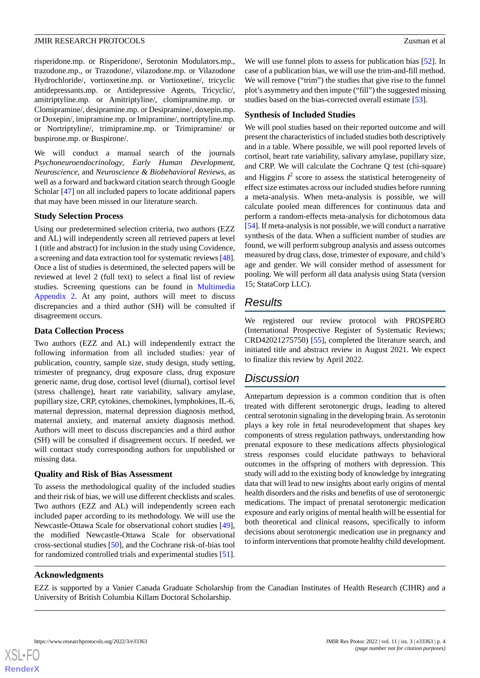#### **JMIR RESEARCH PROTOCOLS** *Zusman et al.*

risperidone.mp. or Risperidone/, Serotonin Modulators.mp., trazodone.mp., or Trazodone/, vilazodone.mp. or Vilazodone Hydrochloride/, vortioxetine.mp. or Vortioxetine/, tricyclic antidepressants.mp. or Antidepressive Agents, Tricyclic/, amitriptyline.mp. or Amitriptyline/, clomipramine.mp. or Clomipramine/, desipramine.mp. or Desipramine/, doxepin.mp. or Doxepin/, imipramine.mp. or Imipramine/, nortriptyline.mp. or Nortriptyline/, trimipramine.mp. or Trimipramine/ or buspirone.mp. or Buspirone/.

We will conduct a manual search of the journals *Psychoneuroendocrinology*, *Early Human Development*, *Neuroscience*, and *Neuroscience & Biobehavioral Reviews*, as well as a forward and backward citation search through Google Scholar [\[47](#page-6-4)] on all included papers to locate additional papers that may have been missed in our literature search.

#### **Study Selection Process**

Using our predetermined selection criteria, two authors (EZZ and AL) will independently screen all retrieved papers at level 1 (title and abstract) for inclusion in the study using Covidence, a screening and data extraction tool for systematic reviews [[48\]](#page-6-5). Once a list of studies is determined, the selected papers will be reviewed at level 2 (full text) to select a final list of review studies. Screening questions can be found in [Multimedia](#page-4-9) [Appendix 2.](#page-4-9) At any point, authors will meet to discuss discrepancies and a third author (SH) will be consulted if disagreement occurs.

#### **Data Collection Process**

Two authors (EZZ and AL) will independently extract the following information from all included studies: year of publication, country, sample size, study design, study setting, trimester of pregnancy, drug exposure class, drug exposure generic name, drug dose, cortisol level (diurnal), cortisol level (stress challenge), heart rate variability, salivary amylase, pupillary size, CRP, cytokines, chemokines, lymphokines, IL-6, maternal depression, maternal depression diagnosis method, maternal anxiety, and maternal anxiety diagnosis method. Authors will meet to discuss discrepancies and a third author (SH) will be consulted if disagreement occurs. If needed, we will contact study corresponding authors for unpublished or missing data.

#### **Quality and Risk of Bias Assessment**

To assess the methodological quality of the included studies and their risk of bias, we will use different checklists and scales. Two authors (EZZ and AL) will independently screen each included paper according to its methodology. We will use the Newcastle-Ottawa Scale for observational cohort studies [[49\]](#page-6-6), the modified Newcastle-Ottawa Scale for observational cross-sectional studies [[50\]](#page-6-7), and the Cochrane risk-of-bias tool for randomized controlled trials and experimental studies [[51\]](#page-6-8).

We will use funnel plots to assess for publication bias [[52\]](#page-6-9). In case of a publication bias, we will use the trim-and-fill method. We will remove ("trim") the studies that give rise to the funnel plot's asymmetry and then impute ("fill") the suggested missing studies based on the bias-corrected overall estimate [[53\]](#page-6-10).

#### **Synthesis of Included Studies**

We will pool studies based on their reported outcome and will present the characteristics of included studies both descriptively and in a table. Where possible, we will pool reported levels of cortisol, heart rate variability, salivary amylase, pupillary size, and CRP. We will calculate the Cochrane Q test (chi-square) and Higgins  $I^2$  score to assess the statistical heterogeneity of effect size estimates across our included studies before running a meta-analysis. When meta-analysis is possible, we will calculate pooled mean differences for continuous data and perform a random-effects meta-analysis for dichotomous data [[54\]](#page-6-11). If meta-analysis is not possible, we will conduct a narrative synthesis of the data. When a sufficient number of studies are found, we will perform subgroup analysis and assess outcomes measured by drug class, dose, trimester of exposure, and child's age and gender. We will consider method of assessment for pooling. We will perform all data analysis using Stata (version 15; StataCorp LLC).

# *Results*

We registered our review protocol with PROSPERO (International Prospective Register of Systematic Reviews; CRD42021275750) [[55\]](#page-6-12), completed the literature search, and initiated title and abstract review in August 2021. We expect to finalize this review by April 2022.

# *Discussion*

Antepartum depression is a common condition that is often treated with different serotonergic drugs, leading to altered central serotonin signaling in the developing brain. As serotonin plays a key role in fetal neurodevelopment that shapes key components of stress regulation pathways, understanding how prenatal exposure to these medications affects physiological stress responses could elucidate pathways to behavioral outcomes in the offspring of mothers with depression. This study will add to the existing body of knowledge by integrating data that will lead to new insights about early origins of mental health disorders and the risks and benefits of use of serotonergic medications. The impact of prenatal serotonergic medication exposure and early origins of mental health will be essential for both theoretical and clinical reasons, specifically to inform decisions about serotonergic medication use in pregnancy and to inform interventions that promote healthy child development.

#### **Acknowledgments**

EZZ is supported by a Vanier Canada Graduate Scholarship from the Canadian Institutes of Health Research (CIHR) and a University of British Columbia Killam Doctoral Scholarship.

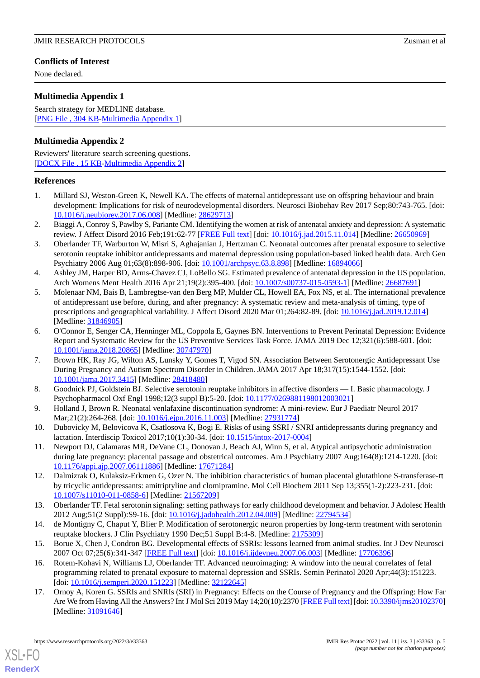# **Conflicts of Interest**

None declared.

# <span id="page-4-8"></span>**Multimedia Appendix 1**

Search strategy for MEDLINE database. [[PNG File , 304 KB-Multimedia Appendix 1](https://jmir.org/api/download?alt_name=resprot_v11i3e33363_app1.png&filename=5718c83e244717a2a98b917dacb503b6.png)]

# <span id="page-4-9"></span>**Multimedia Appendix 2**

Reviewers' literature search screening questions. [[DOCX File , 15 KB](https://jmir.org/api/download?alt_name=resprot_v11i3e33363_app2.docx&filename=ee09c20b269879a090db66db3a06d4f7.docx)-[Multimedia Appendix 2\]](https://jmir.org/api/download?alt_name=resprot_v11i3e33363_app2.docx&filename=ee09c20b269879a090db66db3a06d4f7.docx)

#### <span id="page-4-0"></span>**References**

- <span id="page-4-1"></span>1. Millard SJ, Weston-Green K, Newell KA. The effects of maternal antidepressant use on offspring behaviour and brain development: Implications for risk of neurodevelopmental disorders. Neurosci Biobehav Rev 2017 Sep;80:743-765. [doi: [10.1016/j.neubiorev.2017.06.008\]](http://dx.doi.org/10.1016/j.neubiorev.2017.06.008) [Medline: [28629713](http://www.ncbi.nlm.nih.gov/entrez/query.fcgi?cmd=Retrieve&db=PubMed&list_uids=28629713&dopt=Abstract)]
- <span id="page-4-2"></span>2. Biaggi A, Conroy S, Pawlby S, Pariante CM. Identifying the women at risk of antenatal anxiety and depression: A systematic review. J Affect Disord 2016 Feb;191:62-77 [[FREE Full text](https://linkinghub.elsevier.com/retrieve/pii/S0165-0327(15)30233-0)] [doi: [10.1016/j.jad.2015.11.014\]](http://dx.doi.org/10.1016/j.jad.2015.11.014) [Medline: [26650969](http://www.ncbi.nlm.nih.gov/entrez/query.fcgi?cmd=Retrieve&db=PubMed&list_uids=26650969&dopt=Abstract)]
- 3. Oberlander TF, Warburton W, Misri S, Aghajanian J, Hertzman C. Neonatal outcomes after prenatal exposure to selective serotonin reuptake inhibitor antidepressants and maternal depression using population-based linked health data. Arch Gen Psychiatry 2006 Aug 01;63(8):898-906. [doi: [10.1001/archpsyc.63.8.898\]](http://dx.doi.org/10.1001/archpsyc.63.8.898) [Medline: [16894066](http://www.ncbi.nlm.nih.gov/entrez/query.fcgi?cmd=Retrieve&db=PubMed&list_uids=16894066&dopt=Abstract)]
- 4. Ashley JM, Harper BD, Arms-Chavez CJ, LoBello SG. Estimated prevalence of antenatal depression in the US population. Arch Womens Ment Health 2016 Apr 21;19(2):395-400. [doi: [10.1007/s00737-015-0593-1\]](http://dx.doi.org/10.1007/s00737-015-0593-1) [Medline: [26687691](http://www.ncbi.nlm.nih.gov/entrez/query.fcgi?cmd=Retrieve&db=PubMed&list_uids=26687691&dopt=Abstract)]
- 5. Molenaar NM, Bais B, Lambregtse-van den Berg MP, Mulder CL, Howell EA, Fox NS, et al. The international prevalence of antidepressant use before, during, and after pregnancy: A systematic review and meta-analysis of timing, type of prescriptions and geographical variability. J Affect Disord 2020 Mar 01;264:82-89. [doi: [10.1016/j.jad.2019.12.014](http://dx.doi.org/10.1016/j.jad.2019.12.014)] [Medline: [31846905](http://www.ncbi.nlm.nih.gov/entrez/query.fcgi?cmd=Retrieve&db=PubMed&list_uids=31846905&dopt=Abstract)]
- <span id="page-4-3"></span>6. O'Connor E, Senger CA, Henninger ML, Coppola E, Gaynes BN. Interventions to Prevent Perinatal Depression: Evidence Report and Systematic Review for the US Preventive Services Task Force. JAMA 2019 Dec 12;321(6):588-601. [doi: [10.1001/jama.2018.20865](http://dx.doi.org/10.1001/jama.2018.20865)] [Medline: [30747970](http://www.ncbi.nlm.nih.gov/entrez/query.fcgi?cmd=Retrieve&db=PubMed&list_uids=30747970&dopt=Abstract)]
- <span id="page-4-4"></span>7. Brown HK, Ray JG, Wilton AS, Lunsky Y, Gomes T, Vigod SN. Association Between Serotonergic Antidepressant Use During Pregnancy and Autism Spectrum Disorder in Children. JAMA 2017 Apr 18;317(15):1544-1552. [doi: [10.1001/jama.2017.3415](http://dx.doi.org/10.1001/jama.2017.3415)] [Medline: [28418480](http://www.ncbi.nlm.nih.gov/entrez/query.fcgi?cmd=Retrieve&db=PubMed&list_uids=28418480&dopt=Abstract)]
- 8. Goodnick PJ, Goldstein BJ. Selective serotonin reuptake inhibitors in affective disorders I. Basic pharmacology. J Psychopharmacol Oxf Engl 1998;12(3 suppl B):5-20. [doi: [10.1177/0269881198012003021](http://dx.doi.org/10.1177/0269881198012003021)]
- 9. Holland J, Brown R. Neonatal venlafaxine discontinuation syndrome: A mini-review. Eur J Paediatr Neurol 2017 Mar;21(2):264-268. [doi: [10.1016/j.ejpn.2016.11.003](http://dx.doi.org/10.1016/j.ejpn.2016.11.003)] [Medline: [27931774](http://www.ncbi.nlm.nih.gov/entrez/query.fcgi?cmd=Retrieve&db=PubMed&list_uids=27931774&dopt=Abstract)]
- 10. Dubovicky M, Belovicova K, Csatlosova K, Bogi E. Risks of using SSRI / SNRI antidepressants during pregnancy and lactation. Interdiscip Toxicol 2017;10(1):30-34. [doi: [10.1515/intox-2017-0004\]](http://dx.doi.org/10.1515/intox-2017-0004)
- 11. Newport DJ, Calamaras MR, DeVane CL, Donovan J, Beach AJ, Winn S, et al. Atypical antipsychotic administration during late pregnancy: placental passage and obstetrical outcomes. Am J Psychiatry 2007 Aug;164(8):1214-1220. [doi: [10.1176/appi.ajp.2007.06111886\]](http://dx.doi.org/10.1176/appi.ajp.2007.06111886) [Medline: [17671284](http://www.ncbi.nlm.nih.gov/entrez/query.fcgi?cmd=Retrieve&db=PubMed&list_uids=17671284&dopt=Abstract)]
- <span id="page-4-6"></span><span id="page-4-5"></span>12. Dalmizrak O, Kulaksiz-Erkmen G, Ozer N. The inhibition characteristics of human placental glutathione S-transferase-π by tricyclic antidepressants: amitriptyline and clomipramine. Mol Cell Biochem 2011 Sep 13;355(1-2):223-231. [doi: [10.1007/s11010-011-0858-6\]](http://dx.doi.org/10.1007/s11010-011-0858-6) [Medline: [21567209](http://www.ncbi.nlm.nih.gov/entrez/query.fcgi?cmd=Retrieve&db=PubMed&list_uids=21567209&dopt=Abstract)]
- 13. Oberlander TF. Fetal serotonin signaling: setting pathways for early childhood development and behavior. J Adolesc Health 2012 Aug;51(2 Suppl):S9-16. [doi: [10.1016/j.jadohealth.2012.04.009](http://dx.doi.org/10.1016/j.jadohealth.2012.04.009)] [Medline: [22794534](http://www.ncbi.nlm.nih.gov/entrez/query.fcgi?cmd=Retrieve&db=PubMed&list_uids=22794534&dopt=Abstract)]
- <span id="page-4-7"></span>14. de Montigny C, Chaput Y, Blier P. Modification of serotonergic neuron properties by long-term treatment with serotonin reuptake blockers. J Clin Psychiatry 1990 Dec;51 Suppl B:4-8. [Medline: [2175309](http://www.ncbi.nlm.nih.gov/entrez/query.fcgi?cmd=Retrieve&db=PubMed&list_uids=2175309&dopt=Abstract)]
- 15. Borue X, Chen J, Condron BG. Developmental effects of SSRIs: lessons learned from animal studies. Int J Dev Neurosci 2007 Oct 07;25(6):341-347 [\[FREE Full text\]](http://europepmc.org/abstract/MED/17706396) [doi: [10.1016/j.ijdevneu.2007.06.003](http://dx.doi.org/10.1016/j.ijdevneu.2007.06.003)] [Medline: [17706396](http://www.ncbi.nlm.nih.gov/entrez/query.fcgi?cmd=Retrieve&db=PubMed&list_uids=17706396&dopt=Abstract)]
- 16. Rotem-Kohavi N, Williams LJ, Oberlander TF. Advanced neuroimaging: A window into the neural correlates of fetal programming related to prenatal exposure to maternal depression and SSRIs. Semin Perinatol 2020 Apr;44(3):151223. [doi: [10.1016/j.semperi.2020.151223](http://dx.doi.org/10.1016/j.semperi.2020.151223)] [Medline: [32122645\]](http://www.ncbi.nlm.nih.gov/entrez/query.fcgi?cmd=Retrieve&db=PubMed&list_uids=32122645&dopt=Abstract)
- 17. Ornoy A, Koren G. SSRIs and SNRIs (SRI) in Pregnancy: Effects on the Course of Pregnancy and the Offspring: How Far Are We from Having All the Answers? Int J Mol Sci 2019 May 14;20(10):2370 [[FREE Full text\]](https://www.mdpi.com/resolver?pii=ijms20102370) [doi: [10.3390/ijms20102370](http://dx.doi.org/10.3390/ijms20102370)] [Medline: [31091646](http://www.ncbi.nlm.nih.gov/entrez/query.fcgi?cmd=Retrieve&db=PubMed&list_uids=31091646&dopt=Abstract)]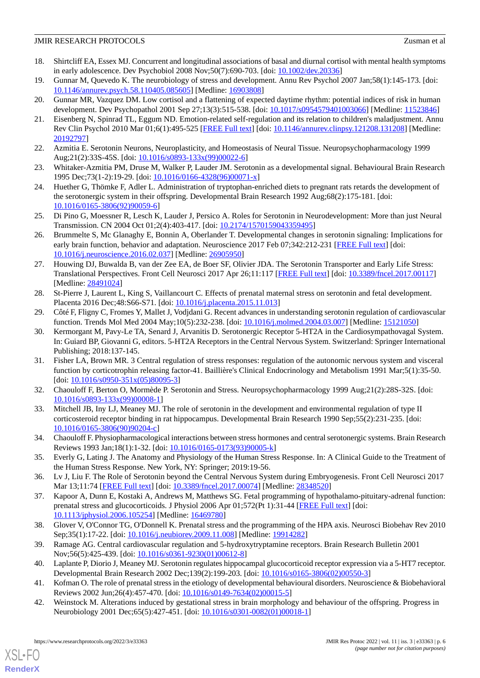#### JMIR RESEARCH PROTOCOLS Zusman et al

- <span id="page-5-0"></span>18. Shirtcliff EA, Essex MJ. Concurrent and longitudinal associations of basal and diurnal cortisol with mental health symptoms in early adolescence. Dev Psychobiol 2008 Nov;50(7):690-703. [doi: [10.1002/dev.20336](http://dx.doi.org/10.1002/dev.20336)]
- 19. Gunnar M, Quevedo K. The neurobiology of stress and development. Annu Rev Psychol 2007 Jan;58(1):145-173. [doi: [10.1146/annurev.psych.58.110405.085605](http://dx.doi.org/10.1146/annurev.psych.58.110405.085605)] [Medline: [16903808](http://www.ncbi.nlm.nih.gov/entrez/query.fcgi?cmd=Retrieve&db=PubMed&list_uids=16903808&dopt=Abstract)]
- <span id="page-5-1"></span>20. Gunnar MR, Vazquez DM. Low cortisol and a flattening of expected daytime rhythm: potential indices of risk in human development. Dev Psychopathol 2001 Sep 27;13(3):515-538. [doi: [10.1017/s0954579401003066](http://dx.doi.org/10.1017/s0954579401003066)] [Medline: [11523846\]](http://www.ncbi.nlm.nih.gov/entrez/query.fcgi?cmd=Retrieve&db=PubMed&list_uids=11523846&dopt=Abstract)
- <span id="page-5-2"></span>21. Eisenberg N, Spinrad TL, Eggum ND. Emotion-related self-regulation and its relation to children's maladjustment. Annu Rev Clin Psychol 2010 Mar 01;6(1):495-525 [[FREE Full text](http://europepmc.org/abstract/MED/20192797)] [doi: [10.1146/annurev.clinpsy.121208.131208\]](http://dx.doi.org/10.1146/annurev.clinpsy.121208.131208) [Medline: [20192797](http://www.ncbi.nlm.nih.gov/entrez/query.fcgi?cmd=Retrieve&db=PubMed&list_uids=20192797&dopt=Abstract)]
- <span id="page-5-3"></span>22. Azmitia E. Serotonin Neurons, Neuroplasticity, and Homeostasis of Neural Tissue. Neuropsychopharmacology 1999 Aug;21(2):33S-45S. [doi: [10.1016/s0893-133x\(99\)00022-6](http://dx.doi.org/10.1016/s0893-133x(99)00022-6)]
- <span id="page-5-4"></span>23. Whitaker-Azmitia PM, Druse M, Walker P, Lauder JM. Serotonin as a developmental signal. Behavioural Brain Research 1995 Dec;73(1-2):19-29. [doi: [10.1016/0166-4328\(96\)00071-x\]](http://dx.doi.org/10.1016/0166-4328(96)00071-x)
- <span id="page-5-5"></span>24. Huether G, Thömke F, Adler L. Administration of tryptophan-enriched diets to pregnant rats retards the development of the serotonergic system in their offspring. Developmental Brain Research 1992 Aug;68(2):175-181. [doi: [10.1016/0165-3806\(92\)90059-6](http://dx.doi.org/10.1016/0165-3806(92)90059-6)]
- <span id="page-5-6"></span>25. Di Pino G, Moessner R, Lesch K, Lauder J, Persico A. Roles for Serotonin in Neurodevelopment: More than just Neural Transmission. CN 2004 Oct 01;2(4):403-417. [doi: [10.2174/1570159043359495](http://dx.doi.org/10.2174/1570159043359495)]
- <span id="page-5-7"></span>26. Brummelte S, Mc Glanaghy E, Bonnin A, Oberlander T. Developmental changes in serotonin signaling: Implications for early brain function, behavior and adaptation. Neuroscience 2017 Feb 07;342:212-231 [[FREE Full text](http://europepmc.org/abstract/MED/26905950)] [doi: [10.1016/j.neuroscience.2016.02.037\]](http://dx.doi.org/10.1016/j.neuroscience.2016.02.037) [Medline: [26905950\]](http://www.ncbi.nlm.nih.gov/entrez/query.fcgi?cmd=Retrieve&db=PubMed&list_uids=26905950&dopt=Abstract)
- <span id="page-5-8"></span>27. Houwing DJ, Buwalda B, van der Zee EA, de Boer SF, Olivier JDA. The Serotonin Transporter and Early Life Stress: Translational Perspectives. Front Cell Neurosci 2017 Apr 26;11:117 [[FREE Full text](https://doi.org/10.3389/fncel.2017.00117)] [doi: [10.3389/fncel.2017.00117\]](http://dx.doi.org/10.3389/fncel.2017.00117) [Medline: [28491024](http://www.ncbi.nlm.nih.gov/entrez/query.fcgi?cmd=Retrieve&db=PubMed&list_uids=28491024&dopt=Abstract)]
- <span id="page-5-9"></span>28. St-Pierre J, Laurent L, King S, Vaillancourt C. Effects of prenatal maternal stress on serotonin and fetal development. Placenta 2016 Dec;48:S66-S71. [doi: [10.1016/j.placenta.2015.11.013](http://dx.doi.org/10.1016/j.placenta.2015.11.013)]
- 29. Côté F, Fligny C, Fromes Y, Mallet J, Vodjdani G. Recent advances in understanding serotonin regulation of cardiovascular function. Trends Mol Med 2004 May;10(5):232-238. [doi: [10.1016/j.molmed.2004.03.007](http://dx.doi.org/10.1016/j.molmed.2004.03.007)] [Medline: [15121050](http://www.ncbi.nlm.nih.gov/entrez/query.fcgi?cmd=Retrieve&db=PubMed&list_uids=15121050&dopt=Abstract)]
- <span id="page-5-10"></span>30. Kermorgant M, Pavy-Le TA, Senard J, Arvanitis D. Serotonergic Receptor 5-HT2A in the Cardiosympathovagal System. In: Guiard BP, Giovanni G, editors. 5-HT2A Receptors in the Central Nervous System. Switzerland: Springer International Publishing; 2018:137-145.
- <span id="page-5-12"></span><span id="page-5-11"></span>31. Fisher LA, Brown MR. 3 Central regulation of stress responses: regulation of the autonomic nervous system and visceral function by corticotrophin releasing factor-41. Baillière's Clinical Endocrinology and Metabolism 1991 Mar;5(1):35-50. [doi: [10.1016/s0950-351x\(05\)80095-3](http://dx.doi.org/10.1016/s0950-351x(05)80095-3)]
- <span id="page-5-13"></span>32. Chaouloff F, Berton O, Mormède P. Serotonin and Stress. Neuropsychopharmacology 1999 Aug;21(2):28S-32S. [doi: [10.1016/s0893-133x\(99\)00008-1](http://dx.doi.org/10.1016/s0893-133x(99)00008-1)]
- <span id="page-5-14"></span>33. Mitchell JB, Iny LJ, Meaney MJ. The role of serotonin in the development and environmental regulation of type II corticosteroid receptor binding in rat hippocampus. Developmental Brain Research 1990 Sep;55(2):231-235. [doi: [10.1016/0165-3806\(90\)90204-c\]](http://dx.doi.org/10.1016/0165-3806(90)90204-c)
- <span id="page-5-16"></span><span id="page-5-15"></span>34. Chaouloff F. Physiopharmacological interactions between stress hormones and central serotonergic systems. Brain Research Reviews 1993 Jan;18(1):1-32. [doi: [10.1016/0165-0173\(93\)90005-k](http://dx.doi.org/10.1016/0165-0173(93)90005-k)]
- 35. Everly G, Lating J. The Anatomy and Physiology of the Human Stress Response. In: A Clinical Guide to the Treatment of the Human Stress Response. New York, NY: Springer; 2019:19-56.
- <span id="page-5-17"></span>36. Lv J, Liu F. The Role of Serotonin beyond the Central Nervous System during Embryogenesis. Front Cell Neurosci 2017 Mar 13;11:74 [\[FREE Full text\]](https://doi.org/10.3389/fncel.2017.00074) [doi: [10.3389/fncel.2017.00074\]](http://dx.doi.org/10.3389/fncel.2017.00074) [Medline: [28348520\]](http://www.ncbi.nlm.nih.gov/entrez/query.fcgi?cmd=Retrieve&db=PubMed&list_uids=28348520&dopt=Abstract)
- <span id="page-5-19"></span><span id="page-5-18"></span>37. Kapoor A, Dunn E, Kostaki A, Andrews M, Matthews SG. Fetal programming of hypothalamo-pituitary-adrenal function: prenatal stress and glucocorticoids. J Physiol 2006 Apr 01;572(Pt 1):31-44 [\[FREE Full text\]](https://doi.org/10.1113/jphysiol.2006.105254) [doi: [10.1113/jphysiol.2006.105254\]](http://dx.doi.org/10.1113/jphysiol.2006.105254) [Medline: [16469780\]](http://www.ncbi.nlm.nih.gov/entrez/query.fcgi?cmd=Retrieve&db=PubMed&list_uids=16469780&dopt=Abstract)
- <span id="page-5-20"></span>38. Glover V, O'Connor TG, O'Donnell K. Prenatal stress and the programming of the HPA axis. Neurosci Biobehav Rev 2010 Sep;35(1):17-22. [doi: [10.1016/j.neubiorev.2009.11.008\]](http://dx.doi.org/10.1016/j.neubiorev.2009.11.008) [Medline: [19914282](http://www.ncbi.nlm.nih.gov/entrez/query.fcgi?cmd=Retrieve&db=PubMed&list_uids=19914282&dopt=Abstract)]
- <span id="page-5-21"></span>39. Ramage AG. Central cardiovascular regulation and 5-hydroxytryptamine receptors. Brain Research Bulletin 2001 Nov;56(5):425-439. [doi: [10.1016/s0361-9230\(01\)00612-8](http://dx.doi.org/10.1016/s0361-9230(01)00612-8)]
- 40. Laplante P, Diorio J, Meaney MJ. Serotonin regulates hippocampal glucocorticoid receptor expression via a 5-HT7 receptor. Developmental Brain Research 2002 Dec;139(2):199-203. [doi: [10.1016/s0165-3806\(02\)00550-3\]](http://dx.doi.org/10.1016/s0165-3806(02)00550-3)
- 41. Kofman O. The role of prenatal stress in the etiology of developmental behavioural disorders. Neuroscience & Biobehavioral Reviews 2002 Jun;26(4):457-470. [doi: [10.1016/s0149-7634\(02\)00015-5\]](http://dx.doi.org/10.1016/s0149-7634(02)00015-5)
- 42. Weinstock M. Alterations induced by gestational stress in brain morphology and behaviour of the offspring. Progress in Neurobiology 2001 Dec;65(5):427-451. [doi: [10.1016/s0301-0082\(01\)00018-1\]](http://dx.doi.org/10.1016/s0301-0082(01)00018-1)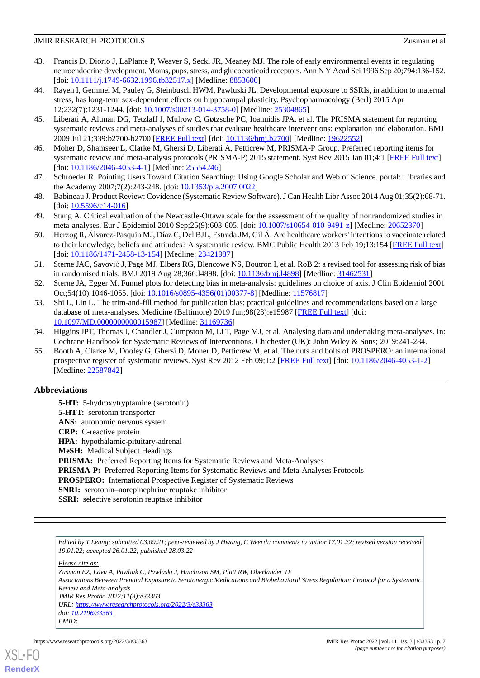#### JMIR RESEARCH PROTOCOLS Zusman et al

- <span id="page-6-0"></span>43. Francis D, Diorio J, LaPlante P, Weaver S, Seckl JR, Meaney MJ. The role of early environmental events in regulating neuroendocrine development. Moms, pups, stress, and glucocorticoid receptors. Ann N Y Acad Sci 1996 Sep 20;794:136-152. [doi: [10.1111/j.1749-6632.1996.tb32517.x](http://dx.doi.org/10.1111/j.1749-6632.1996.tb32517.x)] [Medline: [8853600\]](http://www.ncbi.nlm.nih.gov/entrez/query.fcgi?cmd=Retrieve&db=PubMed&list_uids=8853600&dopt=Abstract)
- <span id="page-6-1"></span>44. Rayen I, Gemmel M, Pauley G, Steinbusch HWM, Pawluski JL. Developmental exposure to SSRIs, in addition to maternal stress, has long-term sex-dependent effects on hippocampal plasticity. Psychopharmacology (Berl) 2015 Apr 12;232(7):1231-1244. [doi: [10.1007/s00213-014-3758-0\]](http://dx.doi.org/10.1007/s00213-014-3758-0) [Medline: [25304865](http://www.ncbi.nlm.nih.gov/entrez/query.fcgi?cmd=Retrieve&db=PubMed&list_uids=25304865&dopt=Abstract)]
- <span id="page-6-3"></span><span id="page-6-2"></span>45. Liberati A, Altman DG, Tetzlaff J, Mulrow C, Gøtzsche PC, Ioannidis JPA, et al. The PRISMA statement for reporting systematic reviews and meta-analyses of studies that evaluate healthcare interventions: explanation and elaboration. BMJ 2009 Jul 21;339:b2700-b2700 [[FREE Full text](http://europepmc.org/abstract/MED/19622552)] [doi: [10.1136/bmj.b2700\]](http://dx.doi.org/10.1136/bmj.b2700) [Medline: [19622552\]](http://www.ncbi.nlm.nih.gov/entrez/query.fcgi?cmd=Retrieve&db=PubMed&list_uids=19622552&dopt=Abstract)
- <span id="page-6-4"></span>46. Moher D, Shamseer L, Clarke M, Ghersi D, Liberati A, Petticrew M, PRISMA-P Group. Preferred reporting items for systematic review and meta-analysis protocols (PRISMA-P) 2015 statement. Syst Rev 2015 Jan 01;4:1 [[FREE Full text\]](https://systematicreviewsjournal.biomedcentral.com/articles/10.1186/2046-4053-4-1) [doi: [10.1186/2046-4053-4-1](http://dx.doi.org/10.1186/2046-4053-4-1)] [Medline: [25554246\]](http://www.ncbi.nlm.nih.gov/entrez/query.fcgi?cmd=Retrieve&db=PubMed&list_uids=25554246&dopt=Abstract)
- <span id="page-6-5"></span>47. Schroeder R. Pointing Users Toward Citation Searching: Using Google Scholar and Web of Science. portal: Libraries and the Academy 2007;7(2):243-248. [doi: [10.1353/pla.2007.0022](http://dx.doi.org/10.1353/pla.2007.0022)]
- <span id="page-6-6"></span>48. Babineau J. Product Review: Covidence (Systematic Review Software). J Can Health Libr Assoc 2014 Aug 01;35(2):68-71. [doi: [10.5596/c14-016\]](http://dx.doi.org/10.5596/c14-016)
- <span id="page-6-7"></span>49. Stang A. Critical evaluation of the Newcastle-Ottawa scale for the assessment of the quality of nonrandomized studies in meta-analyses. Eur J Epidemiol 2010 Sep;25(9):603-605. [doi: [10.1007/s10654-010-9491-z\]](http://dx.doi.org/10.1007/s10654-010-9491-z) [Medline: [20652370\]](http://www.ncbi.nlm.nih.gov/entrez/query.fcgi?cmd=Retrieve&db=PubMed&list_uids=20652370&dopt=Abstract)
- <span id="page-6-8"></span>50. Herzog R, Álvarez-Pasquin MJ, Díaz C, Del BJL, Estrada JM, Gil Á. Are healthcare workers' intentions to vaccinate related to their knowledge, beliefs and attitudes? A systematic review. BMC Public Health 2013 Feb 19;13:154 [\[FREE Full text\]](https://bmcpublichealth.biomedcentral.com/articles/10.1186/1471-2458-13-154) [doi: [10.1186/1471-2458-13-154](http://dx.doi.org/10.1186/1471-2458-13-154)] [Medline: [23421987\]](http://www.ncbi.nlm.nih.gov/entrez/query.fcgi?cmd=Retrieve&db=PubMed&list_uids=23421987&dopt=Abstract)
- <span id="page-6-10"></span><span id="page-6-9"></span>51. Sterne JAC, Savović J, Page MJ, Elbers RG, Blencowe NS, Boutron I, et al. RoB 2: a revised tool for assessing risk of bias in randomised trials. BMJ 2019 Aug 28;366:l4898. [doi: [10.1136/bmj.l4898\]](http://dx.doi.org/10.1136/bmj.l4898) [Medline: [31462531\]](http://www.ncbi.nlm.nih.gov/entrez/query.fcgi?cmd=Retrieve&db=PubMed&list_uids=31462531&dopt=Abstract)
- 52. Sterne JA, Egger M. Funnel plots for detecting bias in meta-analysis: guidelines on choice of axis. J Clin Epidemiol 2001 Oct;54(10):1046-1055. [doi: [10.1016/s0895-4356\(01\)00377-8](http://dx.doi.org/10.1016/s0895-4356(01)00377-8)] [Medline: [11576817](http://www.ncbi.nlm.nih.gov/entrez/query.fcgi?cmd=Retrieve&db=PubMed&list_uids=11576817&dopt=Abstract)]
- <span id="page-6-12"></span><span id="page-6-11"></span>53. Shi L, Lin L. The trim-and-fill method for publication bias: practical guidelines and recommendations based on a large database of meta-analyses. Medicine (Baltimore) 2019 Jun;98(23):e15987 [\[FREE Full text\]](https://doi.org/10.1097/MD.0000000000015987) [doi: [10.1097/MD.0000000000015987](http://dx.doi.org/10.1097/MD.0000000000015987)] [Medline: [31169736](http://www.ncbi.nlm.nih.gov/entrez/query.fcgi?cmd=Retrieve&db=PubMed&list_uids=31169736&dopt=Abstract)]
- 54. Higgins JPT, Thomas J, Chandler J, Cumpston M, Li T, Page MJ, et al. Analysing data and undertaking meta-analyses. In: Cochrane Handbook for Systematic Reviews of Interventions. Chichester (UK): John Wiley & Sons; 2019:241-284.
- 55. Booth A, Clarke M, Dooley G, Ghersi D, Moher D, Petticrew M, et al. The nuts and bolts of PROSPERO: an international prospective register of systematic reviews. Syst Rev 2012 Feb 09;1:2 [[FREE Full text](https://systematicreviewsjournal.biomedcentral.com/articles/10.1186/2046-4053-1-2)] [doi: [10.1186/2046-4053-1-2\]](http://dx.doi.org/10.1186/2046-4053-1-2) [Medline: [22587842](http://www.ncbi.nlm.nih.gov/entrez/query.fcgi?cmd=Retrieve&db=PubMed&list_uids=22587842&dopt=Abstract)]

# **Abbreviations**

**5-HT:** 5-hydroxytryptamine (serotonin) **5-HTT:** serotonin transporter **ANS:** autonomic nervous system **CRP:** C-reactive protein **HPA:** hypothalamic-pituitary-adrenal **MeSH:** Medical Subject Headings PRISMA: Preferred Reporting Items for Systematic Reviews and Meta-Analyses **PRISMA-P:** Preferred Reporting Items for Systematic Reviews and Meta-Analyses Protocols **PROSPERO:** International Prospective Register of Systematic Reviews **SNRI:** serotonin–norepinephrine reuptake inhibitor **SSRI:** selective serotonin reuptake inhibitor

*Edited by T Leung; submitted 03.09.21; peer-reviewed by J Hwang, C Weerth; comments to author 17.01.22; revised version received 19.01.22; accepted 26.01.22; published 28.03.22*

*Please cite as: Zusman EZ, Lavu A, Pawliuk C, Pawluski J, Hutchison SM, Platt RW, Oberlander TF Associations Between Prenatal Exposure to Serotonergic Medications and Biobehavioral Stress Regulation: Protocol for a Systematic Review and Meta-analysis JMIR Res Protoc 2022;11(3):e33363 URL: <https://www.researchprotocols.org/2022/3/e33363> doi: [10.2196/33363](http://dx.doi.org/10.2196/33363) PMID:*



**[RenderX](http://www.renderx.com/)**